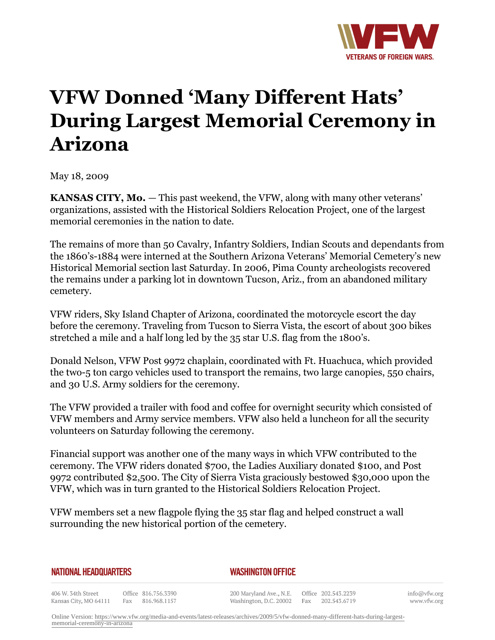

## **VFW Donned 'Many Different Hats' During Largest Memorial Ceremony in Arizona**

May 18, 2009

**KANSAS CITY, Mo.** – This past weekend, the VFW, along with many other veterans' organizations, assisted with the Historical Soldiers Relocation Project, one of the largest memorial ceremonies in the nation to date.

The remains of more than 50 Cavalry, Infantry Soldiers, Indian Scouts and dependants from the 1860's-1884 were interned at the Southern Arizona Veterans' Memorial Cemetery's new Historical Memorial section last Saturday. In 2006, Pima County archeologists recovered the remains under a parking lot in downtown Tucson, Ariz., from an abandoned military cemetery.

VFW riders, Sky Island Chapter of Arizona, coordinated the motorcycle escort the day before the ceremony. Traveling from Tucson to Sierra Vista, the escort of about 300 bikes stretched a mile and a half long led by the 35 star U.S. flag from the 1800's.

Donald Nelson, VFW Post 9972 chaplain, coordinated with Ft. Huachuca, which provided the two-5 ton cargo vehicles used to transport the remains, two large canopies, 550 chairs, and 30 U.S. Army soldiers for the ceremony.

The VFW provided a trailer with food and coffee for overnight security which consisted of VFW members and Army service members. VFW also held a luncheon for all the security volunteers on Saturday following the ceremony.

Financial support was another one of the many ways in which VFW contributed to the ceremony. The VFW riders donated \$700, the Ladies Auxiliary donated \$100, and Post 9972 contributed \$2,500. The City of Sierra Vista graciously bestowed \$30,000 upon the VFW, which was in turn granted to the Historical Soldiers Relocation Project.

VFW members set a new flagpole flying the 35 star flag and helped construct a wall surrounding the new historical portion of the cemetery.

## **NATIONAL HEADQUARTERS**

## *WASHINGTON OFFICE*

406 W. 34th Street Office 816.756.3390 Kansas City, MO 64111 Fax 816.968.1157

200 Maryland Ave., N.E. Washington, D.C. 20002

Office 202.543.2239 Fax 202.543.6719 info@vfw.org www.vfw.org

Online Version: [https://www.vfw.org/media-and-events/latest-releases/archives/2009/5/vfw-donned-many-different-hats-during-largest](https://www.vfw.org/media-and-events/latest-releases/archives/2009/5/vfw-donned-many-different-hats-during-largest-memorial-ceremony-in-arizona)[memorial-ceremony-in-arizona](https://www.vfw.org/media-and-events/latest-releases/archives/2009/5/vfw-donned-many-different-hats-during-largest-memorial-ceremony-in-arizona)